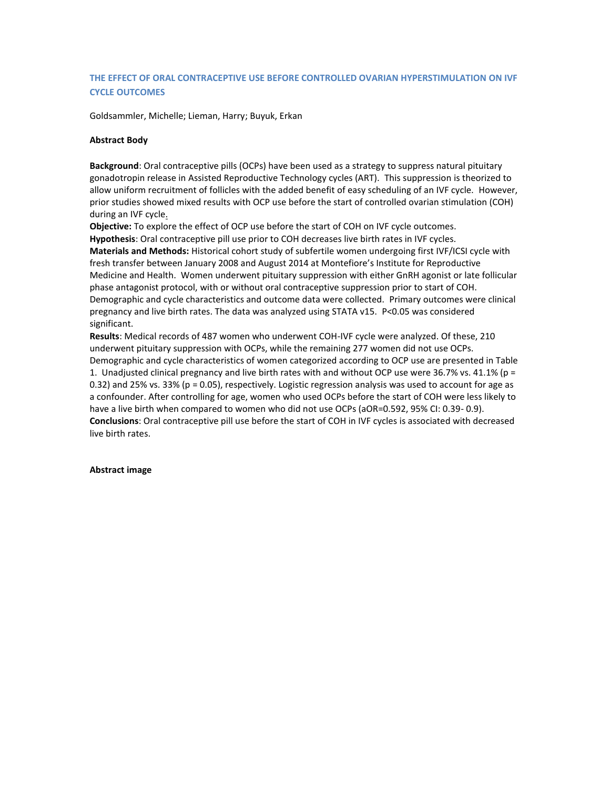## **THE EFFECT OF ORAL CONTRACEPTIVE USE BEFORE CONTROLLED OVARIAN HYPERSTIMULATION ON IVF CYCLE OUTCOMES**

Goldsammler, Michelle; Lieman, Harry; Buyuk, Erkan

## **Abstract Body**

**Background**: Oral contraceptive pills (OCPs) have been used as a strategy to suppress natural pituitary gonadotropin release in Assisted Reproductive Technology cycles (ART). This suppression is theorized to allow uniform recruitment of follicles with the added benefit of easy scheduling of an IVF cycle. However, prior studies showed mixed results with OCP use before the start of controlled ovarian stimulation (COH) during an IVF cycle.

**Objective:** To explore the effect of OCP use before the start of COH on IVF cycle outcomes. **Hypothesis**: Oral contraceptive pill use prior to COH decreases live birth rates in IVF cycles. **Materials and Methods:** Historical cohort study of subfertile women undergoing first IVF/ICSI cycle with fresh transfer between January 2008 and August 2014 at Montefiore's Institute for Reproductive Medicine and Health. Women underwent pituitary suppression with either GnRH agonist or late follicular phase antagonist protocol, with or without oral contraceptive suppression prior to start of COH. Demographic and cycle characteristics and outcome data were collected. Primary outcomes were clinical pregnancy and live birth rates. The data was analyzed using STATA v15. P<0.05 was considered significant.

**Results**: Medical records of 487 women who underwent COH-IVF cycle were analyzed. Of these, 210 underwent pituitary suppression with OCPs, while the remaining 277 women did not use OCPs.

Demographic and cycle characteristics of women categorized according to OCP use are presented in Table 1. Unadjusted clinical pregnancy and live birth rates with and without OCP use were 36.7% vs. 41.1% (p = 0.32) and 25% vs. 33% (p = 0.05), respectively. Logistic regression analysis was used to account for age as a confounder. After controlling for age, women who used OCPs before the start of COH were less likely to have a live birth when compared to women who did not use OCPs (aOR=0.592, 95% CI: 0.39- 0.9). **Conclusions**: Oral contraceptive pill use before the start of COH in IVF cycles is associated with decreased live birth rates.

## **Abstract image**